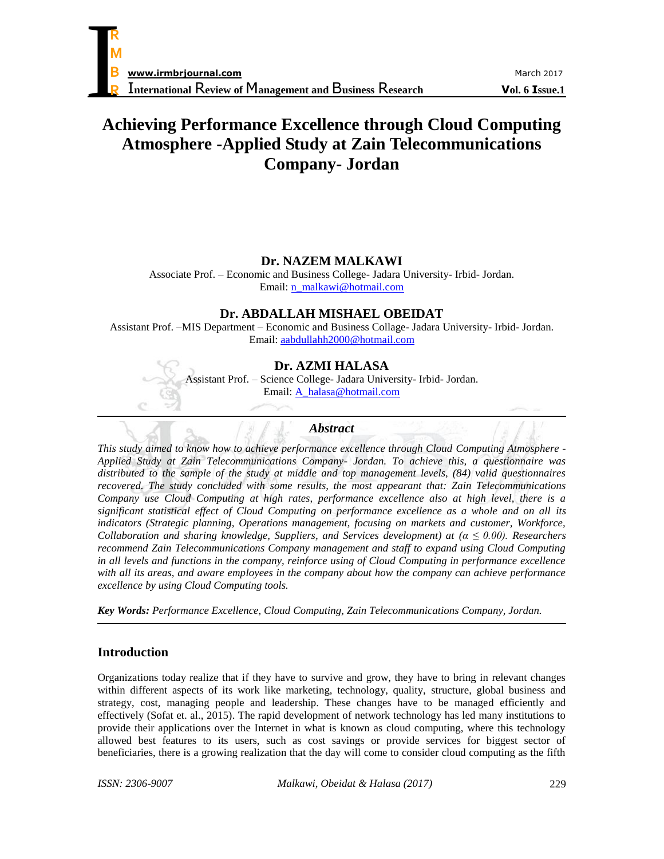# **Achieving Performance Excellence through Cloud Computing Atmosphere -Applied Study at Zain Telecommunications Company- Jordan**

# **Dr. NAZEM MALKAWI**

Associate Prof. – Economic and Business College- Jadara University- Irbid- Jordan. Email: [n\\_malkawi@hotmail.com](mailto:n_malkawi@hotmail.com)

# **Dr. ABDALLAH MISHAEL OBEIDAT**

Assistant Prof. –MIS Department – Economic and Business Collage- Jadara University- Irbid- Jordan. Email: [aabdullahh2000@hotmail.com](mailto:aabdullahh2000@hotmail.com)

# **Dr. AZMI HALASA**

Assistant Prof. – Science College- Jadara University- Irbid- Jordan. Email: [A\\_halasa@hotmail.com](mailto:A_halasa@hotmail.com)

# *Abstract*

*This study aimed to know how to achieve performance excellence through Cloud Computing Atmosphere - Applied Study at Zain Telecommunications Company- Jordan. To achieve this, a questionnaire was distributed to the sample of the study at middle and top management levels, (84) valid questionnaires recovered. The study concluded with some results, the most appearant that: Zain Telecommunications Company use Cloud Computing at high rates, performance excellence also at high level, there is a significant statistical effect of Cloud Computing on performance excellence as a whole and on all its indicators (Strategic planning, Operations management, focusing on markets and customer, Workforce, Collaboration and sharing knowledge, Suppliers, and Services development) at (α ≤ 0.00). Researchers recommend Zain Telecommunications Company management and staff to expand using Cloud Computing in all levels and functions in the company, reinforce using of Cloud Computing in performance excellence with all its areas, and aware employees in the company about how the company can achieve performance excellence by using Cloud Computing tools.*

*Key Words: Performance Excellence, Cloud Computing, Zain Telecommunications Company, Jordan.*

# **Introduction**

Organizations today realize that if they have to survive and grow, they have to bring in relevant changes within different aspects of its work like marketing, technology, quality, structure, global business and strategy, cost, managing people and leadership. These changes have to be managed efficiently and effectively (Sofat et. al., 2015). The rapid development of network technology has led many institutions to provide their applications over the Internet in what is known as cloud computing, where this technology allowed best features to its users, such as cost savings or provide services for biggest sector of beneficiaries, there is a growing realization that the day will come to consider cloud computing as the fifth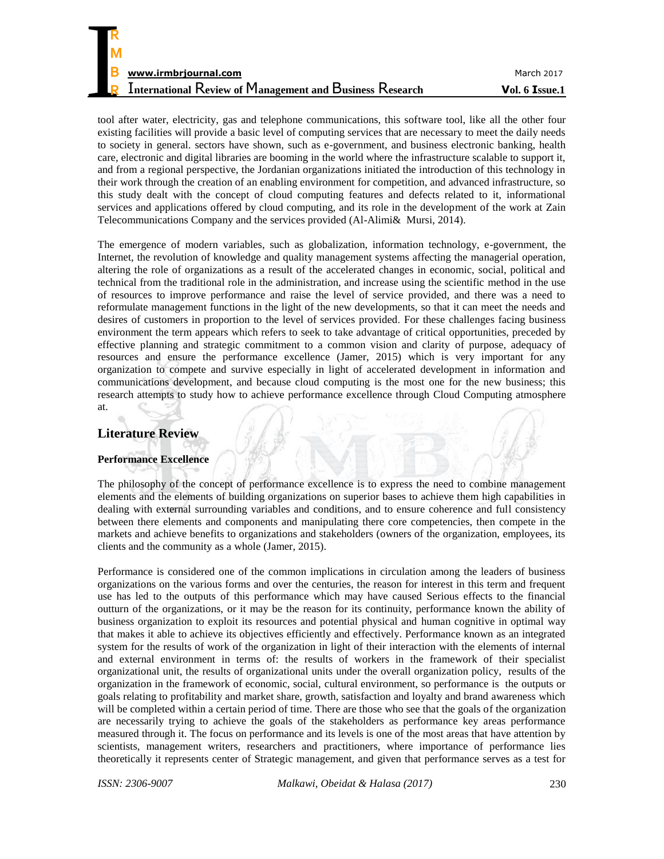tool after water, electricity, gas and telephone communications, this software tool, like all the other four existing facilities will provide a basic level of computing services that are necessary to meet the daily needs to society in general. sectors have shown, such as e-government, and business electronic banking, health care, electronic and digital libraries are booming in the world where the infrastructure scalable to support it, and from a regional perspective, the Jordanian organizations initiated the introduction of this technology in their work through the creation of an enabling environment for competition, and advanced infrastructure, so this study dealt with the concept of cloud computing features and defects related to it, informational services and applications offered by cloud computing, and its role in the development of the work at Zain Telecommunications Company and the services provided (Al-Alimi& Mursi, 2014).

The emergence of modern variables, such as globalization, information technology, e-government, the Internet, the revolution of knowledge and quality management systems affecting the managerial operation, altering the role of organizations as a result of the accelerated changes in economic, social, political and technical from the traditional role in the administration, and increase using the scientific method in the use of resources to improve performance and raise the level of service provided, and there was a need to reformulate management functions in the light of the new developments, so that it can meet the needs and desires of customers in proportion to the level of services provided. For these challenges facing business environment the term appears which refers to seek to take advantage of critical opportunities, preceded by effective planning and strategic commitment to a common vision and clarity of purpose, adequacy of resources and ensure the performance excellence (Jamer, 2015) which is very important for any organization to compete and survive especially in light of accelerated development in information and communications development, and because cloud computing is the most one for the new business; this research attempts to study how to achieve performance excellence through Cloud Computing atmosphere at.

# **Literature Review**

**R**

## **Performance Excellence**

The philosophy of the concept of performance excellence is to express the need to combine management elements and the elements of building organizations on superior bases to achieve them high capabilities in dealing with external surrounding variables and conditions, and to ensure coherence and full consistency between there elements and components and manipulating there core competencies, then compete in the markets and achieve benefits to organizations and stakeholders (owners of the organization, employees, its clients and the community as a whole (Jamer, 2015).

Performance is considered one of the common implications in circulation among the leaders of business organizations on the various forms and over the centuries, the reason for interest in this term and frequent use has led to the outputs of this performance which may have caused Serious effects to the financial outturn of the organizations, or it may be the reason for its continuity, performance known the ability of business organization to exploit its resources and potential physical and human cognitive in optimal way that makes it able to achieve its objectives efficiently and effectively. Performance known as an integrated system for the results of work of the organization in light of their interaction with the elements of internal and external environment in terms of: the results of workers in the framework of their specialist organizational unit, the results of organizational units under the overall organization policy, results of the organization in the framework of economic, social, cultural environment, so performance is the outputs or goals relating to profitability and market share, growth, satisfaction and loyalty and brand awareness which will be completed within a certain period of time. There are those who see that the goals of the organization are necessarily trying to achieve the goals of the stakeholders as performance key areas performance measured through it. The focus on performance and its levels is one of the most areas that have attention by scientists, management writers, researchers and practitioners, where importance of performance lies theoretically it represents center of Strategic management, and given that performance serves as a test for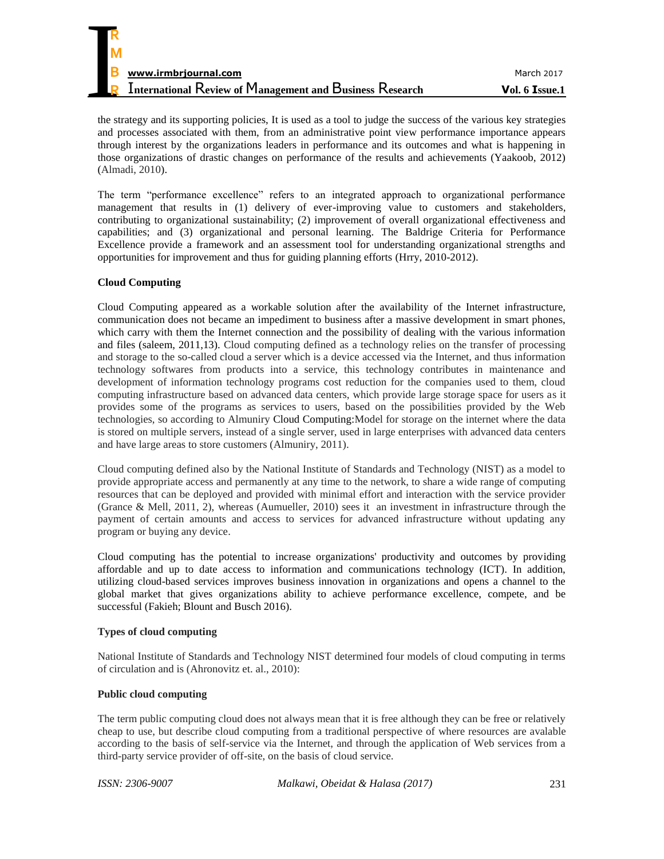| R                                                               |                |
|-----------------------------------------------------------------|----------------|
|                                                                 |                |
| M                                                               |                |
| B<br>www.irmbrjournal.com                                       | March 2017     |
| <b>International Review of Management and Business Research</b> | Vol. 6 Issue.1 |

the strategy and its supporting policies, It is used as a tool to judge the success of the various key strategies and processes associated with them, from an administrative point view performance importance appears through interest by the organizations leaders in performance and its outcomes and what is happening in those organizations of drastic changes on performance of the results and achievements (Yaakoob, 2012) (Almadi, 2010).

The term "performance excellence" refers to an integrated approach to organizational performance management that results in (1) delivery of ever-improving value to customers and stakeholders, contributing to organizational sustainability; (2) improvement of overall organizational effectiveness and capabilities; and (3) organizational and personal learning. The Baldrige Criteria for Performance Excellence provide a framework and an assessment tool for understanding organizational strengths and opportunities for improvement and thus for guiding planning efforts (Hrry, 2010-2012).

### **Cloud Computing**

Cloud Computing appeared as a workable solution after the availability of the Internet infrastructure, communication does not became an impediment to business after a massive development in smart phones, which carry with them the Internet connection and the possibility of dealing with the various information and files (saleem, 2011,13). Cloud computing defined as a technology relies on the transfer of processing and storage to the so-called cloud a server which is a device accessed via the Internet, and thus information technology softwares from products into a service, this technology contributes in maintenance and development of information technology programs cost reduction for the companies used to them, cloud computing infrastructure based on advanced data centers, which provide large storage space for users as it provides some of the programs as services to users, based on the possibilities provided by the Web technologies, so according to Almuniry Cloud Computing:Model for storage on the internet where the data is stored on multiple servers, instead of a single server, used in large enterprises with advanced data centers and have large areas to store customers (Almuniry, 2011).

Cloud computing defined also by the National Institute of Standards and Technology (NIST) as a model to provide appropriate access and permanently at any time to the network, to share a wide range of computing resources that can be deployed and provided with minimal effort and interaction with the service provider (Grance & Mell, 2011, 2), whereas (Aumueller, 2010) sees it an investment in infrastructure through the payment of certain amounts and access to services for advanced infrastructure without updating any program or buying any device.

Cloud computing has the potential to increase organizations' productivity and outcomes by providing affordable and up to date access to information and communications technology (ICT). In addition, utilizing cloud-based services improves business innovation in organizations and opens a channel to the global market that gives organizations ability to achieve performance excellence, compete, and be successful (Fakieh; Blount and Busch 2016).

#### **Types of cloud computing**

National Institute of Standards and Technology NIST determined four models of cloud computing in terms of circulation and is (Ahronovitz et. al., 2010):

#### **Public cloud computing**

The term public computing cloud does not always mean that it is free although they can be free or relatively cheap to use, but describe cloud computing from a traditional perspective of where resources are avalable according to the basis of self-service via the Internet, and through the application of Web services from a third-party service provider of off-site, on the basis of cloud service.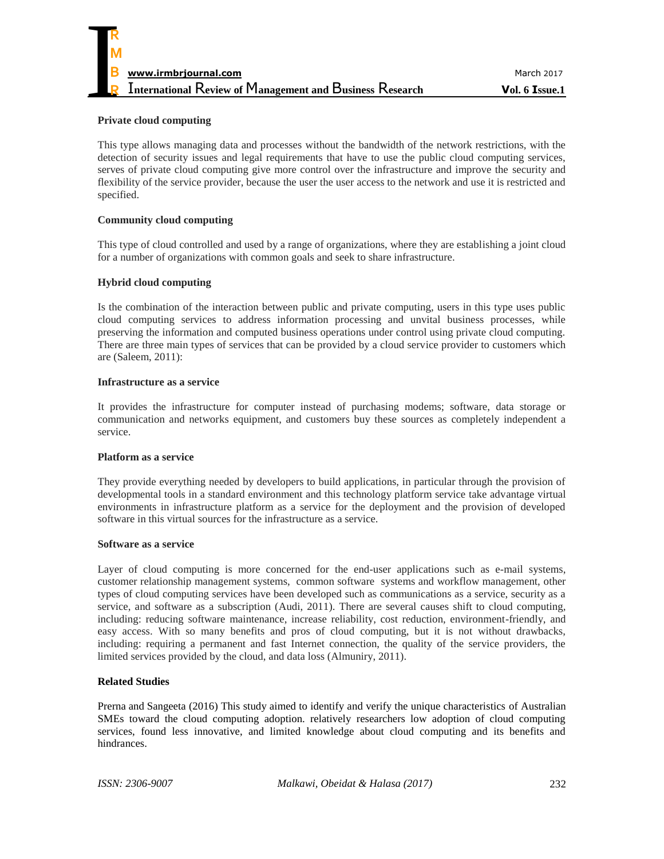

#### **Private cloud computing**

This type allows managing data and processes without the bandwidth of the network restrictions, with the detection of security issues and legal requirements that have to use the public cloud computing services, serves of private cloud computing give more control over the infrastructure and improve the security and flexibility of the service provider, because the user the user access to the network and use it is restricted and specified.

#### **Community cloud computing**

This type of cloud controlled and used by a range of organizations, where they are establishing a joint cloud for a number of organizations with common goals and seek to share infrastructure.

#### **Hybrid cloud computing**

Is the combination of the interaction between public and private computing, users in this type uses public cloud computing services to address information processing and unvital business processes, while preserving the information and computed business operations under control using private cloud computing. There are three main types of services that can be provided by a cloud service provider to customers which are (Saleem, 2011):

#### **Infrastructure as a service**

It provides the infrastructure for computer instead of purchasing modems; software, data storage or communication and networks equipment, and customers buy these sources as completely independent a service.

#### **Platform as a service**

They provide everything needed by developers to build applications, in particular through the provision of developmental tools in a standard environment and this technology platform service take advantage virtual environments in infrastructure platform as a service for the deployment and the provision of developed software in this virtual sources for the infrastructure as a service.

#### **Software as a service**

Layer of cloud computing is more concerned for the end-user applications such as e-mail systems, customer relationship management systems, common software systems and workflow management, other types of cloud computing services have been developed such as communications as a service, security as a service, and software as a subscription (Audi, 2011). There are several causes shift to cloud computing, including: reducing software maintenance, increase reliability, cost reduction, environment-friendly, and easy access. With so many benefits and pros of cloud computing, but it is not without drawbacks, including: requiring a permanent and fast Internet connection, the quality of the service providers, the limited services provided by the cloud, and data loss (Almuniry, 2011).

#### **Related Studies**

[Prerna](http://www.emeraldinsight.com/author/Lal%2C+Prerna) and [Sangeeta \(](http://www.emeraldinsight.com/author/Bharadwaj%2C+Sangeeta+Shah)2016) This study aimed to identify and verify the unique characteristics of Australian SMEs toward the cloud computing adoption. relatively researchers low adoption of cloud computing services, found less innovative, and limited knowledge about cloud computing and its benefits and hindrances.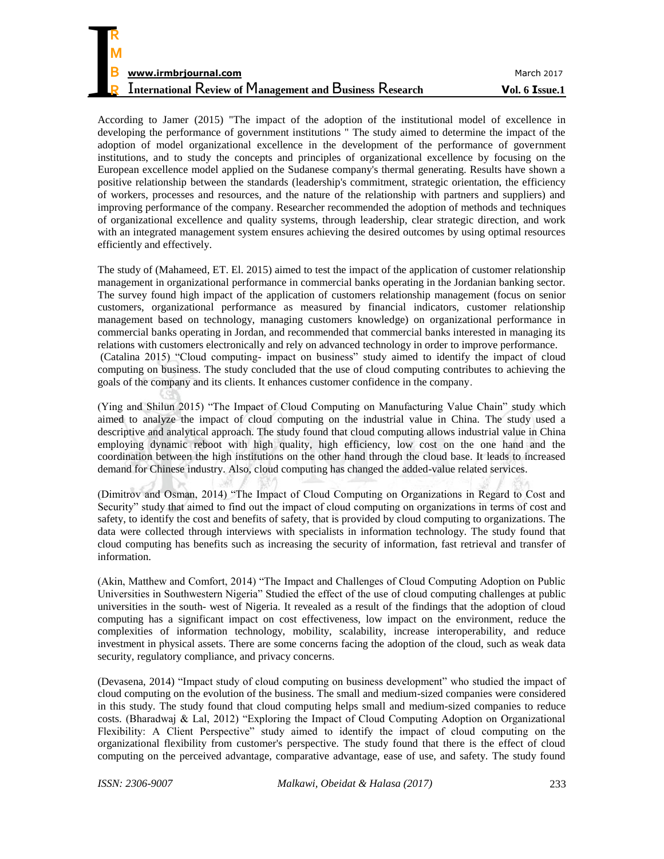| R                                                               |                |
|-----------------------------------------------------------------|----------------|
| M                                                               |                |
| B<br>www.irmbrjournal.com                                       | March 2017     |
| <b>International Review of Management and Business Research</b> | Vol. 6 Issue.1 |

According to Jamer (2015) "The impact of the adoption of the institutional model of excellence in developing the performance of government institutions " The study aimed to determine the impact of the adoption of model organizational excellence in the development of the performance of government institutions, and to study the concepts and principles of organizational excellence by focusing on the European excellence model applied on the Sudanese company's thermal generating. Results have shown a positive relationship between the standards (leadership's commitment, strategic orientation, the efficiency of workers, processes and resources, and the nature of the relationship with partners and suppliers) and improving performance of the company. Researcher recommended the adoption of methods and techniques of organizational excellence and quality systems, through leadership, clear strategic direction, and work with an integrated management system ensures achieving the desired outcomes by using optimal resources efficiently and effectively.

The study of (Mahameed, ET. El. 2015) aimed to test the impact of the application of customer relationship management in organizational performance in commercial banks operating in the Jordanian banking sector. The survey found high impact of the application of customers relationship management (focus on senior customers, organizational performance as measured by financial indicators, customer relationship management based on technology, managing customers knowledge) on organizational performance in commercial banks operating in Jordan, and recommended that commercial banks interested in managing its relations with customers electronically and rely on advanced technology in order to improve performance. (Catalina 2015) "Cloud computing- impact on business" study aimed to identify the impact of cloud computing on business. The study concluded that the use of cloud computing contributes to achieving the goals of the company and its clients. It enhances customer confidence in the company.

(Ying and Shilun 2015) "The Impact of Cloud Computing on Manufacturing Value Chain" study which aimed to analyze the impact of cloud computing on the industrial value in China. The study used a descriptive and analytical approach. The study found that cloud computing allows industrial value in China employing dynamic reboot with high quality, high efficiency, low cost on the one hand and the coordination between the high institutions on the other hand through the cloud base. It leads to increased demand for Chinese industry. Also, cloud computing has changed the added-value related services.

(Dimitrov and Osman, 2014) "The Impact of Cloud Computing on Organizations in Regard to Cost and Security" study that aimed to find out the impact of cloud computing on organizations in terms of cost and safety, to identify the cost and benefits of safety, that is provided by cloud computing to organizations. The data were collected through interviews with specialists in information technology. The study found that cloud computing has benefits such as increasing the security of information, fast retrieval and transfer of information.

(Akin, Matthew and Comfort, 2014) "The Impact and Challenges of Cloud Computing Adoption on Public Universities in Southwestern Nigeria" Studied the effect of the use of cloud computing challenges at public universities in the south- west of Nigeria. It revealed as a result of the findings that the adoption of cloud computing has a significant impact on cost effectiveness, low impact on the environment, reduce the complexities of information technology, mobility, scalability, increase interoperability, and reduce investment in physical assets. There are some concerns facing the adoption of the cloud, such as weak data security, regulatory compliance, and privacy concerns.

(Devasena, 2014) "Impact study of cloud computing on business development" who studied the impact of cloud computing on the evolution of the business. The small and medium-sized companies were considered in this study. The study found that cloud computing helps small and medium-sized companies to reduce costs. (Bharadwaj & Lal, 2012) "Exploring the Impact of Cloud Computing Adoption on Organizational Flexibility: A Client Perspective" study aimed to identify the impact of cloud computing on the organizational flexibility from customer's perspective. The study found that there is the effect of cloud computing on the perceived advantage, comparative advantage, ease of use, and safety. The study found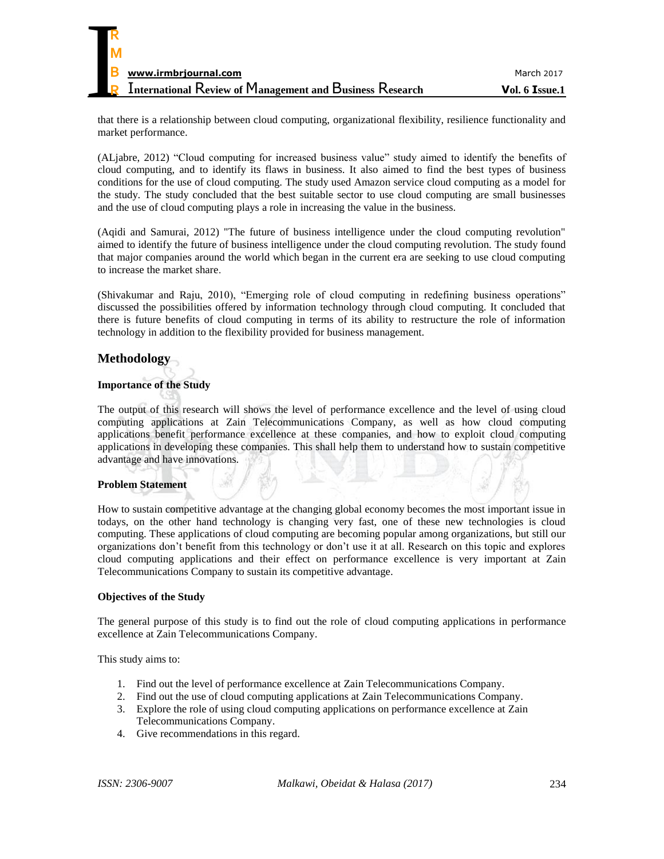

that there is a relationship between cloud computing, organizational flexibility, resilience functionality and market performance.

(ALjabre, 2012) "Cloud computing for increased business value" study aimed to identify the benefits of cloud computing, and to identify its flaws in business. It also aimed to find the best types of business conditions for the use of cloud computing. The study used Amazon service cloud computing as a model for the study. The study concluded that the best suitable sector to use cloud computing are small businesses and the use of cloud computing plays a role in increasing the value in the business.

(Aqidi and Samurai, 2012) "The future of business intelligence under the cloud computing revolution" aimed to identify the future of business intelligence under the cloud computing revolution. The study found that major companies around the world which began in the current era are seeking to use cloud computing to increase the market share.

(Shivakumar and Raju, 2010), "Emerging role of cloud computing in redefining business operations" discussed the possibilities offered by information technology through cloud computing. It concluded that there is future benefits of cloud computing in terms of its ability to restructure the role of information technology in addition to the flexibility provided for business management.

# **Methodology**

### **Importance of the Study**

The output of this research will shows the level of performance excellence and the level of using cloud computing applications at Zain Telecommunications Company, as well as how cloud computing applications benefit performance excellence at these companies, and how to exploit cloud computing applications in developing these companies. This shall help them to understand how to sustain competitive advantage and have innovations.

#### **Problem Statement**

How to sustain competitive advantage at the changing global economy becomes the most important issue in todays, on the other hand technology is changing very fast, one of these new technologies is cloud computing. These applications of cloud computing are becoming popular among organizations, but still our organizations don't benefit from this technology or don't use it at all. Research on this topic and explores cloud computing applications and their effect on performance excellence is very important at Zain Telecommunications Company to sustain its competitive advantage.

#### **Objectives of the Study**

The general purpose of this study is to find out the role of cloud computing applications in performance excellence at Zain Telecommunications Company.

This study aims to:

- 1. Find out the level of performance excellence at Zain Telecommunications Company.
- 2. Find out the use of cloud computing applications at Zain Telecommunications Company.
- 3. Explore the role of using cloud computing applications on performance excellence at Zain Telecommunications Company.
- 4. Give recommendations in this regard.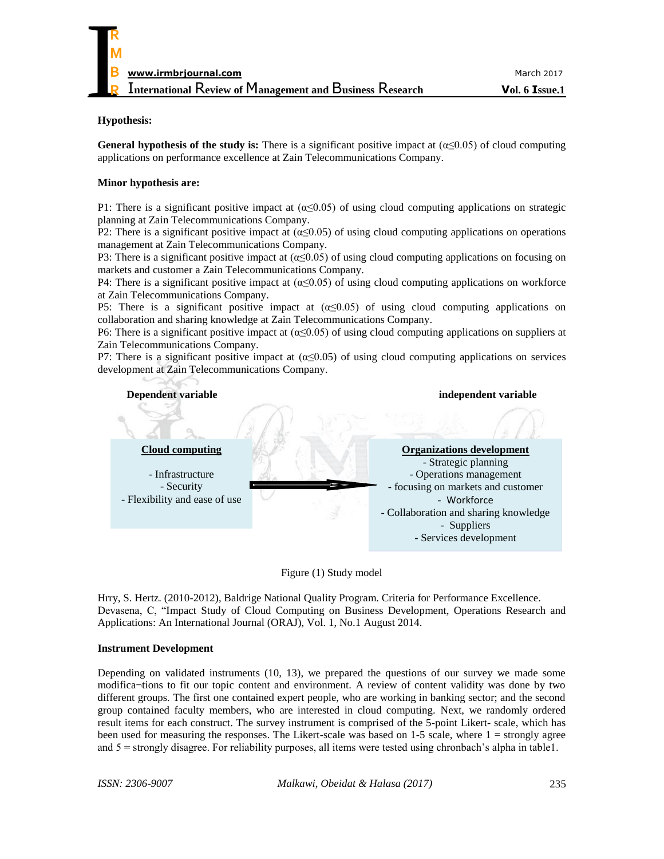#### **Hypothesis:**

**General hypothesis of the study is:** There is a significant positive impact at (α≤0.05) of cloud computing applications on performance excellence at Zain Telecommunications Company.

#### **Minor hypothesis are:**

P1: There is a significant positive impact at  $(\alpha \le 0.05)$  of using cloud computing applications on strategic planning at Zain Telecommunications Company.

P2: There is a significant positive impact at  $(\alpha \le 0.05)$  of using cloud computing applications on operations management at Zain Telecommunications Company.

P3: There is a significant positive impact at  $(\alpha \le 0.05)$  of using cloud computing applications on focusing on markets and customer a Zain Telecommunications Company.

P4: There is a significant positive impact at (α≤0.05) of using cloud computing applications on workforce at Zain Telecommunications Company.

P5: There is a significant positive impact at  $(\alpha \le 0.05)$  of using cloud computing applications on collaboration and sharing knowledge at Zain Telecommunications Company.

P6: There is a significant positive impact at  $(α≤0.05)$  of using cloud computing applications on suppliers at Zain Telecommunications Company.

P7: There is a significant positive impact at ( $\alpha \leq 0.05$ ) of using cloud computing applications on services development at Zain Telecommunications Company.



Figure (1) Study model

Hrry, S. Hertz. (2010-2012), Baldrige National Quality Program. Criteria for Performance Excellence. Devasena, C, "Impact Study of Cloud Computing on Business Development, Operations Research and Applications: An International Journal (ORAJ), Vol. 1, No.1 August 2014.

#### **Instrument Development**

Depending on validated instruments (10, 13), we prepared the questions of our survey we made some modifica¬tions to fit our topic content and environment. A review of content validity was done by two different groups. The first one contained expert people, who are working in banking sector; and the second group contained faculty members, who are interested in cloud computing. Next, we randomly ordered result items for each construct. The survey instrument is comprised of the 5-point Likert- scale, which has been used for measuring the responses. The Likert-scale was based on 1-5 scale, where 1 = strongly agree and 5 = strongly disagree. For reliability purposes, all items were tested using chronbach's alpha in table1.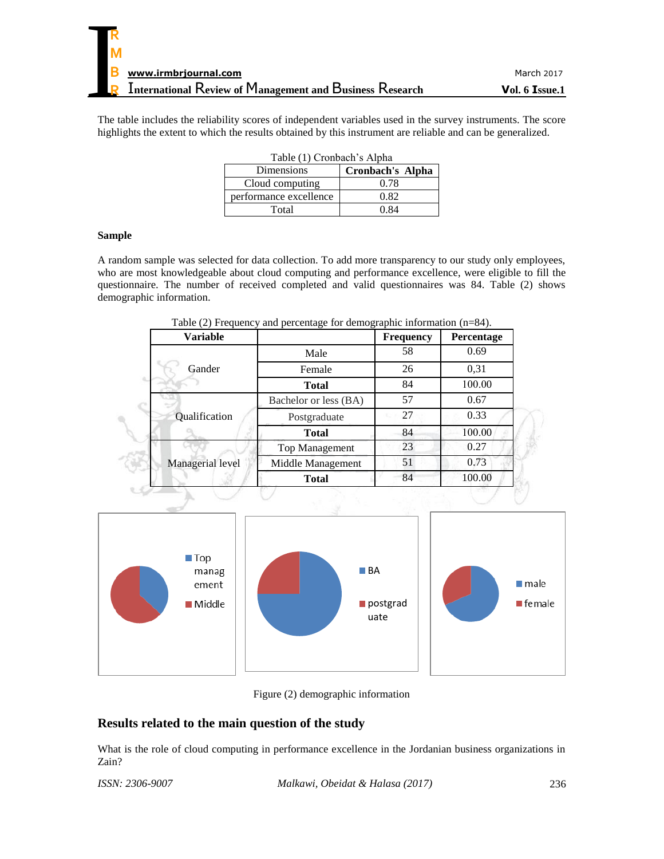The table includes the reliability scores of independent variables used in the survey instruments. The score highlights the extent to which the results obtained by this instrument are reliable and can be generalized.

| Table (1) Cronbach's Alpha |                  |  |  |  |
|----------------------------|------------------|--|--|--|
| Dimensions                 | Cronbach's Alpha |  |  |  |
| Cloud computing            | 0.78             |  |  |  |
| performance excellence     | 0.82             |  |  |  |
| Total                      | 0 R4             |  |  |  |

#### **Sample**

A random sample was selected for data collection. To add more transparency to our study only employees, who are most knowledgeable about cloud computing and performance excellence, were eligible to fill the questionnaire. The number of received completed and valid questionnaires was 84. Table (2) shows demographic information.

| <b>Variable</b>  |                       | Frequency | Percentage |
|------------------|-----------------------|-----------|------------|
|                  | Male                  | 58        | 0.69       |
| Gander           | Female                | 26        | 0.31       |
|                  | <b>Total</b>          | 84        | 100.00     |
|                  | Bachelor or less (BA) | 57        | 0.67       |
| Qualification    | Postgraduate          | 27        | 0.33       |
|                  | <b>Total</b>          | 84        | 100.00     |
|                  | Top Management        | 23        | 0.27       |
| Managerial level | Middle Management     | 51        | 0.73       |
|                  | <b>Total</b>          | 84        | 100.00     |

Table (2) Frequency and percentage for demographic information (n=84).



Figure (2) demographic information

# **Results related to the main question of the study**

What is the role of cloud computing in performance excellence in the Jordanian business organizations in Zain?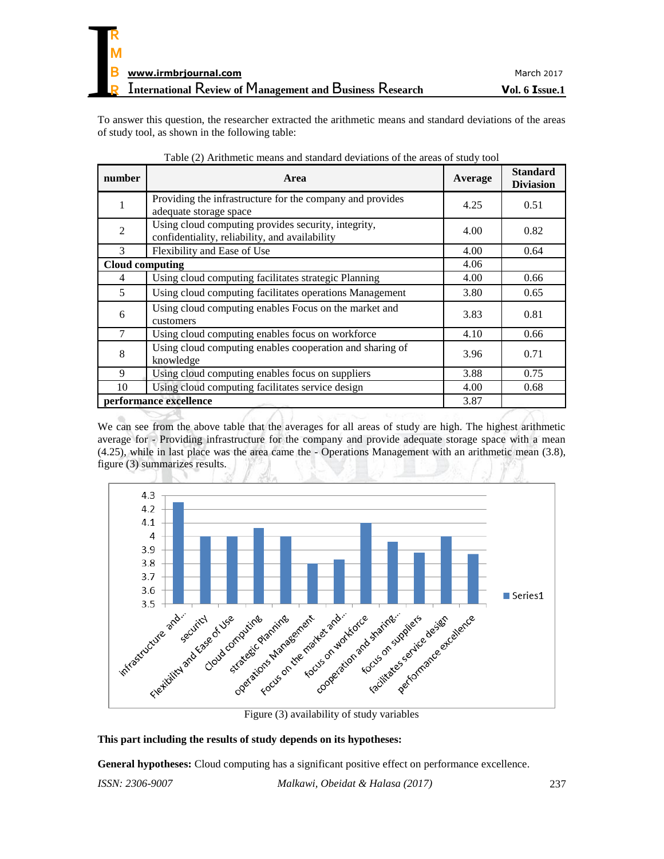To answer this question, the researcher extracted the arithmetic means and standard deviations of the areas of study tool, as shown in the following table:

| number                 | Area                                                                                                  | Average | <b>Standard</b><br><b>Diviasion</b> |
|------------------------|-------------------------------------------------------------------------------------------------------|---------|-------------------------------------|
| 1                      | Providing the infrastructure for the company and provides<br>adequate storage space                   | 4.25    | 0.51                                |
| 2                      | Using cloud computing provides security, integrity,<br>confidentiality, reliability, and availability | 4.00    | 0.82                                |
| 3                      | Flexibility and Ease of Use                                                                           | 4.00    | 0.64                                |
| <b>Cloud computing</b> |                                                                                                       | 4.06    |                                     |
| 4                      | Using cloud computing facilitates strategic Planning                                                  | 4.00    | 0.66                                |
| 5                      | Using cloud computing facilitates operations Management                                               | 3.80    | 0.65                                |
| 6                      | Using cloud computing enables Focus on the market and<br>customers                                    | 3.83    | 0.81                                |
| 7                      | Using cloud computing enables focus on workforce                                                      | 4.10    | 0.66                                |
| 8                      | Using cloud computing enables cooperation and sharing of<br>knowledge                                 | 3.96    | 0.71                                |
| 9                      | Using cloud computing enables focus on suppliers                                                      | 3.88    | 0.75                                |
| 10                     | Using cloud computing facilitates service design                                                      | 4.00    | 0.68                                |
|                        | performance excellence                                                                                | 3.87    |                                     |

Table (2) Arithmetic means and standard deviations of the areas of study tool

We can see from the above table that the averages for all areas of study are high. The highest arithmetic average for - Providing infrastructure for the company and provide adequate storage space with a mean (4.25), while in last place was the area came the - Operations Management with an arithmetic mean (3.8), figure (3) summarizes results.



Figure (3) availability of study variables

#### **This part including the results of study depends on its hypotheses:**

**General hypotheses:** Cloud computing has a significant positive effect on performance excellence.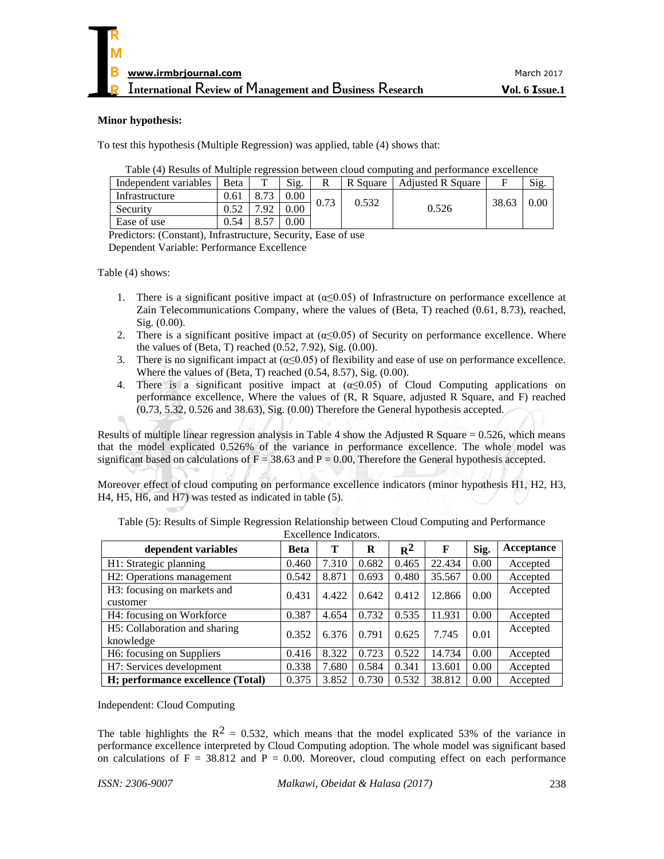#### **Minor hypothesis:**

To test this hypothesis (Multiple Regression) was applied, table (4) shows that:

| Table (4) Results of Multiple regression between cloud computing and performance excellence |  |  |
|---------------------------------------------------------------------------------------------|--|--|
|                                                                                             |  |  |
|                                                                                             |  |  |
|                                                                                             |  |  |

| Independent variables | <b>B</b> eta | $\mathbf{r}$ | Sig.     | R    | R Square | <b>Adjusted R Square</b> | F     | Sig. |
|-----------------------|--------------|--------------|----------|------|----------|--------------------------|-------|------|
| Infrastructure        | 0.61         |              | $0.00\,$ | 0.73 | 0.532    |                          | 38.63 | 0.00 |
| Security              |              | .92          | $0.00\,$ |      |          | 0.526                    |       |      |
| Ease of use           | 0.54         |              | $0.00\,$ |      |          |                          |       |      |

Predictors: (Constant), Infrastructure, Security, Ease of use

Dependent Variable: Performance Excellence

Table (4) shows:

- 1. There is a significant positive impact at  $(\alpha \le 0.05)$  of Infrastructure on performance excellence at Zain Telecommunications Company, where the values of (Beta, T) reached (0.61, 8.73), reached, Sig. (0.00).
- 2. There is a significant positive impact at  $(\alpha \le 0.05)$  of Security on performance excellence. Where the values of (Beta, T) reached (0.52, 7.92), Sig. (0.00).
- 3. There is no significant impact at  $(\alpha \le 0.05)$  of flexibility and ease of use on performance excellence. Where the values of (Beta, T) reached  $(0.54, 8.57)$ , Sig.  $(0.00)$ .
- 4. There is a significant positive impact at  $(\alpha \le 0.05)$  of Cloud Computing applications on performance excellence, Where the values of (R, R Square, adjusted R Square, and F) reached (0.73, 5.32, 0.526 and 38.63), Sig. (0.00) Therefore the General hypothesis accepted.

Results of multiple linear regression analysis in Table 4 show the Adjusted R Square  $= 0.526$ , which means that the model explicated 0.526% of the variance in performance excellence. The whole model was significant based on calculations of  $F = 38.63$  and  $P = 0.00$ , Therefore the General hypothesis accepted.

Moreover effect of cloud computing on performance excellence indicators (minor hypothesis H1, H2, H3, H4, H5, H6, and H7) was tested as indicated in table (5).

| dependent variables                        | Beta  | т     | R     | $R^2$ | F      | Sig. | Acceptance |
|--------------------------------------------|-------|-------|-------|-------|--------|------|------------|
| H1: Strategic planning                     | 0.460 | 7.310 | 0.682 | 0.465 | 22.434 | 0.00 | Accepted   |
| H <sub>2</sub> : Operations management     | 0.542 | 8.871 | 0.693 | 0.480 | 35.567 | 0.00 | Accepted   |
| H3: focusing on markets and                | 0.431 | 4.422 | 0.642 | 0.412 | 12.866 | 0.00 | Accepted   |
| customer                                   |       |       |       |       |        |      |            |
| H4: focusing on Workforce                  | 0.387 | 4.654 | 0.732 | 0.535 | 11.931 | 0.00 | Accepted   |
| H <sub>5</sub> : Collaboration and sharing | 0.352 | 6.376 | 0.791 | 0.625 | 7.745  | 0.01 | Accepted   |
| knowledge                                  |       |       |       |       |        |      |            |
| H6: focusing on Suppliers                  | 0.416 | 8.322 | 0.723 | 0.522 | 14.734 | 0.00 | Accepted   |
| H7: Services development                   | 0.338 | 7.680 | 0.584 | 0.341 | 13.601 | 0.00 | Accepted   |
| H; performance excellence (Total)          | 0.375 | 3.852 | 0.730 | 0.532 | 38.812 | 0.00 | Accepted   |

Table (5): Results of Simple Regression Relationship between Cloud Computing and Performance Excellence Indicators.

Independent: Cloud Computing

The table highlights the  $R^2 = 0.532$ , which means that the model explicated 53% of the variance in performance excellence interpreted by Cloud Computing adoption. The whole model was significant based on calculations of  $F = 38.812$  and  $P = 0.00$ . Moreover, cloud computing effect on each performance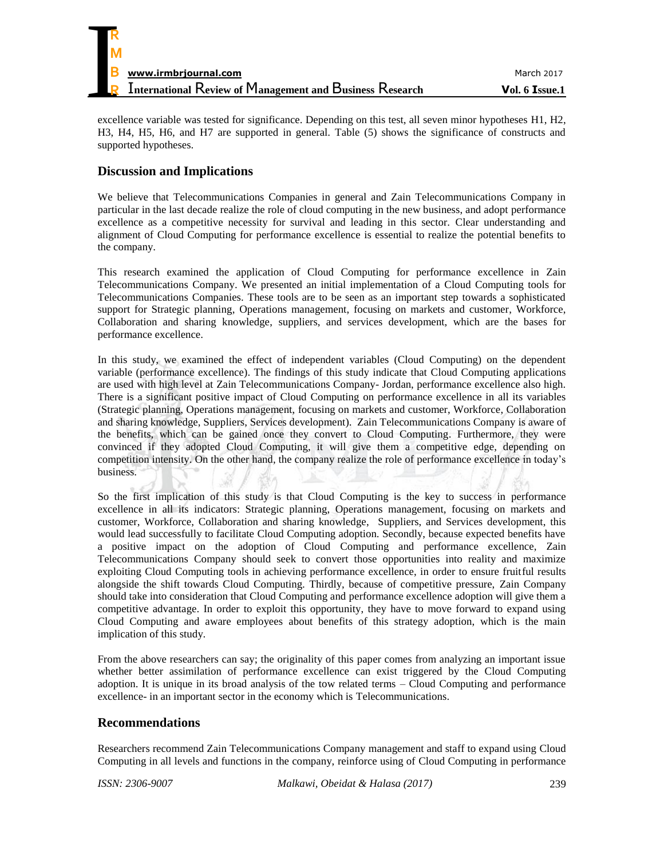

excellence variable was tested for significance. Depending on this test, all seven minor hypotheses H1, H2, H3, H4, H5, H6, and H7 are supported in general. Table (5) shows the significance of constructs and supported hypotheses.

# **Discussion and Implications**

We believe that Telecommunications Companies in general and Zain Telecommunications Company in particular in the last decade realize the role of cloud computing in the new business, and adopt performance excellence as a competitive necessity for survival and leading in this sector. Clear understanding and alignment of Cloud Computing for performance excellence is essential to realize the potential benefits to the company.

This research examined the application of Cloud Computing for performance excellence in Zain Telecommunications Company. We presented an initial implementation of a Cloud Computing tools for Telecommunications Companies. These tools are to be seen as an important step towards a sophisticated support for Strategic planning, Operations management, focusing on markets and customer, Workforce, Collaboration and sharing knowledge, suppliers, and services development, which are the bases for performance excellence.

In this study, we examined the effect of independent variables (Cloud Computing) on the dependent variable (performance excellence). The findings of this study indicate that Cloud Computing applications are used with high level at Zain Telecommunications Company- Jordan, performance excellence also high. There is a significant positive impact of Cloud Computing on performance excellence in all its variables (Strategic planning, Operations management, focusing on markets and customer, Workforce, Collaboration and sharing knowledge, Suppliers, Services development). Zain Telecommunications Company is aware of the benefits, which can be gained once they convert to Cloud Computing. Furthermore, they were convinced if they adopted Cloud Computing, it will give them a competitive edge, depending on competition intensity. On the other hand, the company realize the role of performance excellence in today's business.

So the first implication of this study is that Cloud Computing is the key to success in performance excellence in all its indicators: Strategic planning, Operations management, focusing on markets and customer, Workforce, Collaboration and sharing knowledge, Suppliers, and Services development, this would lead successfully to facilitate Cloud Computing adoption. Secondly, because expected benefits have a positive impact on the adoption of Cloud Computing and performance excellence, Zain Telecommunications Company should seek to convert those opportunities into reality and maximize exploiting Cloud Computing tools in achieving performance excellence, in order to ensure fruitful results alongside the shift towards Cloud Computing. Thirdly, because of competitive pressure, Zain Company should take into consideration that Cloud Computing and performance excellence adoption will give them a competitive advantage. In order to exploit this opportunity, they have to move forward to expand using Cloud Computing and aware employees about benefits of this strategy adoption, which is the main implication of this study.

From the above researchers can say; the originality of this paper comes from analyzing an important issue whether better assimilation of performance excellence can exist triggered by the Cloud Computing adoption. It is unique in its broad analysis of the tow related terms – Cloud Computing and performance excellence- in an important sector in the economy which is Telecommunications.

## **Recommendations**

Researchers recommend Zain Telecommunications Company management and staff to expand using Cloud Computing in all levels and functions in the company, reinforce using of Cloud Computing in performance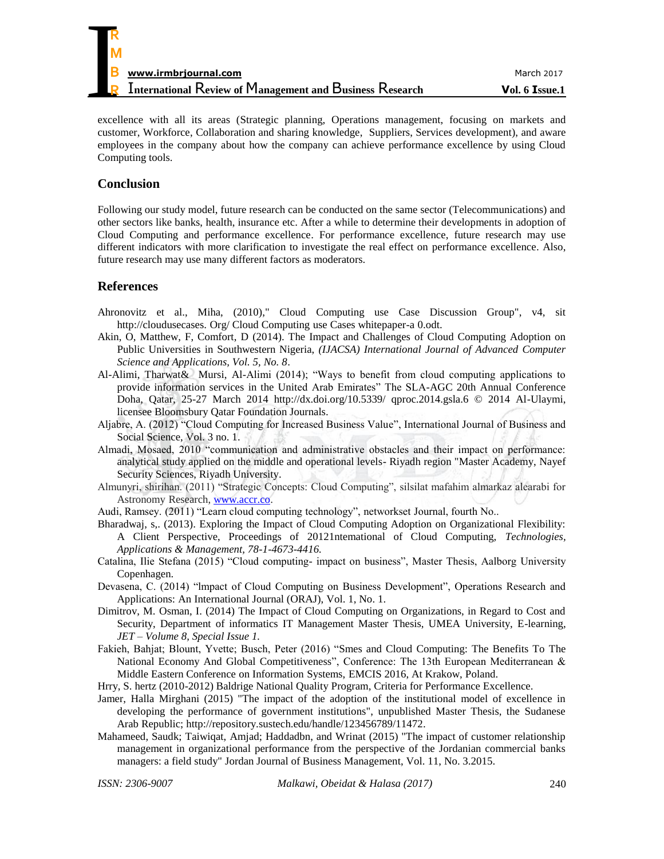| R |                                                                 |                |
|---|-----------------------------------------------------------------|----------------|
| M |                                                                 |                |
| B | www.irmbrjournal.com                                            | March 2017     |
|   | <b>International Review of Management and Business Research</b> | Vol. 6 Issue.1 |

excellence with all its areas (Strategic planning, Operations management, focusing on markets and customer, Workforce, Collaboration and sharing knowledge, Suppliers, Services development), and aware employees in the company about how the company can achieve performance excellence by using Cloud Computing tools.

## **Conclusion**

Following our study model, future research can be conducted on the same sector (Telecommunications) and other sectors like banks, health, insurance etc. After a while to determine their developments in adoption of Cloud Computing and performance excellence. For performance excellence, future research may use different indicators with more clarification to investigate the real effect on performance excellence. Also, future research may use many different factors as moderators.

# **References**

- Ahronovitz et al., Miha, (2010)," Cloud Computing use Case Discussion Group", v4, sit http://cloudusecases. Org/ Cloud Computing use Cases whitepaper-a 0.odt.
- Akin, O, Matthew, F, Comfort, D (2014). The Impact and Challenges of Cloud Computing Adoption on Public Universities in Southwestern Nigeria, *(IJACSA) International Journal of Advanced Computer Science and Applications, Vol. 5, No. 8*.
- Al-Alimi, Tharwat& Mursi, Al-Alimi (2014); "Ways to benefit from cloud computing applications to provide information services in the United Arab Emirates" The SLA-AGC 20th Annual Conference Doha, Qatar, 25-27 March 2014 http://dx.doi.org/10.5339/ qproc.2014.gsla.6 © 2014 Al-Ulaymi, licensee Bloomsbury Qatar Foundation Journals.
- Aljabre, A. (2012) "Cloud Computing for Increased Business Value", International Journal of Business and Social Science, Vol. 3 no. 1.
- Almadi, Mosaed, 2010 "communication and administrative obstacles and their impact on performance: analytical study applied on the middle and operational levels- Riyadh region "Master Academy, Nayef Security Sciences, Riyadh University.
- Almunyri, shirihan. (2011) "Strategic Concepts: Cloud Computing", silsilat mafahim almarkaz alearabi for Astronomy Research, [www.accr.co.](http://www.accr.co/)
- Audi, Ramsey. (2011) "Learn cloud computing technology", networkset Journal, fourth No..
- Bharadwaj, s,. (2013). Exploring the Impact of Cloud Computing Adoption on Organizational Flexibility: A Client Perspective, Proceedings of 20121ntemational of Cloud Computing, *Technologies, Applications & Management, 78-1-4673-4416.*
- Catalina, Ilie Stefana (2015) "Cloud computing- impact on business", Master Thesis, Aalborg University Copenhagen.
- Devasena, C. (2014) "lmpact of Cloud Computing on Business Development", Operations Research and Applications: An International Journal (ORAJ), Vol. 1, No. 1.
- Dimitrov, M. Osman, I. (2014) The Impact of Cloud Computing on Organizations, in Regard to Cost and Security, Department of informatics IT Management Master Thesis, UMEA University, E-learning, *JET – Volume 8, Special Issue 1.*
- Fakieh, Bahjat; Blount, Yvette; Busch, Peter (2016) "Smes and Cloud Computing: The Benefits To The National Economy And Global Competitiveness", Conference: The 13th European Mediterranean & Middle Eastern Conference on Information Systems, EMCIS 2016, At Krakow, Poland.
- Hrry, S. hertz (2010-2012) Baldrige National Quality Program, Criteria for Performance Excellence.
- Jamer, Halla Mirghani (2015) "The impact of the adoption of the institutional model of excellence in developing the performance of government institutions", unpublished Master Thesis, the Sudanese Arab Republic; [http://repository.sustech.edu/handle/123456789/11472.](http://repository.sustech.edu/handle/123456789/11472)
- Mahameed, Saudk; Taiwiqat, Amjad; Haddadbn, and Wrinat (2015) "The impact of customer relationship management in organizational performance from the perspective of the Jordanian commercial banks managers: a field study" Jordan Journal of Business Management, Vol. 11, No. 3.2015.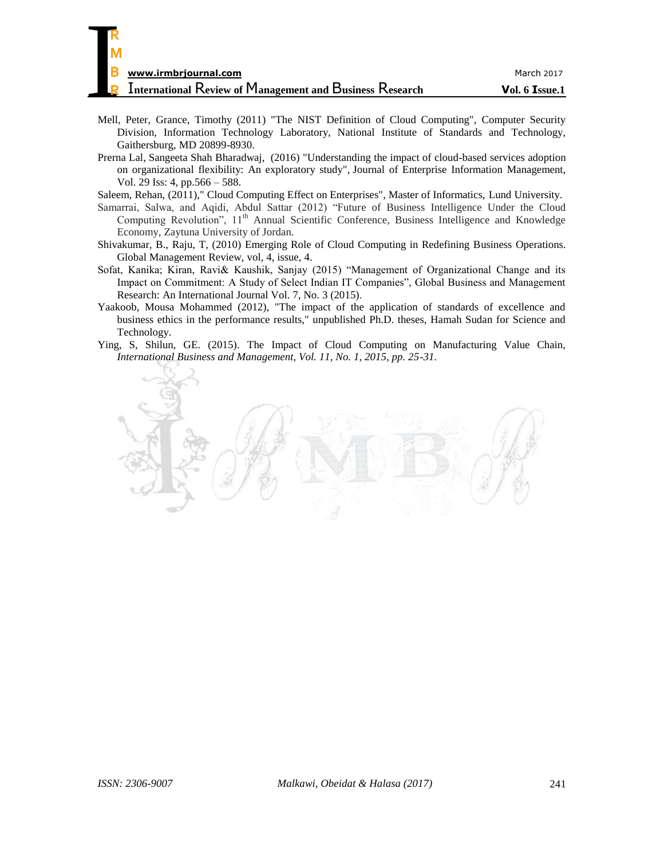| R                                                               |                |
|-----------------------------------------------------------------|----------------|
| M                                                               |                |
| В<br>www.irmbrjournal.com                                       | March 2017     |
| <b>International Review of Management and Business Research</b> | Vol. 6 Issue.1 |

- Mell, Peter, Grance, Timothy (2011) "The NIST Definition of Cloud Computing", Computer Security Division, Information Technology Laboratory, National Institute of Standards and Technology, Gaithersburg, MD 20899-8930.
- [Prerna Lal,](http://www.emeraldinsight.com/author/Lal%2C+Prerna) [Sangeeta Shah Bharadwaj,](http://www.emeraldinsight.com/author/Bharadwaj%2C+Sangeeta+Shah) (2016) "Understanding the impact of cloud-based services adoption on organizational flexibility: An exploratory study", Journal of Enterprise Information Management, Vol. 29 Iss: 4, pp.566 – 588.

Saleem, Rehan, (2011)," Cloud Computing Effect on Enterprises", Master of Informatics, Lund University.

- Samarrai, Salwa, and Aqidi, Abdul Sattar (2012) "Future of Business Intelligence Under the Cloud Computing Revolution", 11<sup>th</sup> Annual Scientific Conference, Business Intelligence and Knowledge Economy, Zaytuna University of Jordan.
- Shivakumar, B., Raju, T, (2010) Emerging Role of Cloud Computing in Redefining Business Operations. Global Management Review, vol, 4, issue, 4.
- Sofat, Kanika; Kiran, Ravi& Kaushik, Sanjay (2015) "Management of Organizational Change and its Impact on Commitment: A Study of Select Indian IT Companies", Global Business and Management Research: An International Journal Vol. 7, No. 3 (2015).
- Yaakoob, Mousa Mohammed (2012), "The impact of the application of standards of excellence and business ethics in the performance results," unpublished Ph.D. theses, Hamah Sudan for Science and Technology.
- Ying, S, Shilun, GE. (2015). The Impact of Cloud Computing on Manufacturing Value Chain, *International Business and Management, Vol. 11, No. 1, 2015, pp. 25-31.*

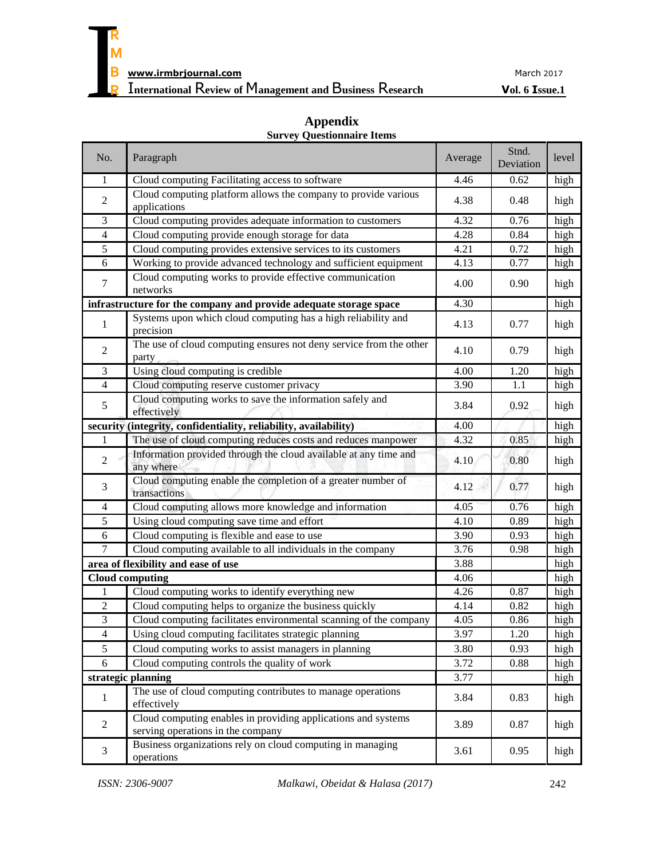

# **Appendix**

| No.                      | Paragraph                                                                                          | Average | Stnd.<br>Deviation | level |
|--------------------------|----------------------------------------------------------------------------------------------------|---------|--------------------|-------|
| 1                        | Cloud computing Facilitating access to software                                                    | 4.46    | 0.62               | high  |
| $\sqrt{2}$               | Cloud computing platform allows the company to provide various<br>applications                     | 4.38    | 0.48               | high  |
| 3                        | Cloud computing provides adequate information to customers                                         | 4.32    | 0.76               | high  |
| $\overline{4}$           | Cloud computing provide enough storage for data                                                    | 4.28    | 0.84               | high  |
| 5                        | Cloud computing provides extensive services to its customers                                       | 4.21    | 0.72               | high  |
| 6                        | Working to provide advanced technology and sufficient equipment                                    | 4.13    | 0.77               | high  |
| $\tau$                   | Cloud computing works to provide effective communication<br>networks                               | 4.00    | 0.90               | high  |
|                          | infrastructure for the company and provide adequate storage space                                  | 4.30    |                    | high  |
| 1                        | Systems upon which cloud computing has a high reliability and<br>precision                         | 4.13    | 0.77               | high  |
| $\sqrt{2}$               | The use of cloud computing ensures not deny service from the other<br>party                        | 4.10    | 0.79               | high  |
| 3                        | Using cloud computing is credible                                                                  | 4.00    | 1.20               | high  |
| $\overline{4}$           | Cloud computing reserve customer privacy                                                           | 3.90    | 1.1                | high  |
| 5                        | Cloud computing works to save the information safely and<br>effectively                            | 3.84    | 0.92               | high  |
|                          | security (integrity, confidentiality, reliability, availability)                                   | 4.00    |                    | high  |
| 1                        | The use of cloud computing reduces costs and reduces manpower                                      | 4.32    | 0.85               | high  |
| $\overline{2}$           | Information provided through the cloud available at any time and<br>any where                      | 4.10    | 0.80               | high  |
| 3                        | Cloud computing enable the completion of a greater number of<br>transactions                       | 4.12    | 0.77               | high  |
| $\overline{\mathcal{A}}$ | Cloud computing allows more knowledge and information                                              | 4.05    | 0.76               | high  |
| 5                        | Using cloud computing save time and effort                                                         | 4.10    | 0.89               | high  |
| $\epsilon$               | Cloud computing is flexible and ease to use                                                        | 3.90    | 0.93               | high  |
| 7                        | Cloud computing available to all individuals in the company                                        | 3.76    | 0.98               | high  |
|                          | area of flexibility and ease of use                                                                | 3.88    |                    | high  |
|                          | <b>Cloud computing</b>                                                                             | 4.06    |                    | high  |
| 1                        | Cloud computing works to identify everything new                                                   | 4.26    | 0.87               | high  |
| 2                        | Cloud computing helps to organize the business quickly                                             | 4.14    | 0.82               | high  |
| $\mathfrak{Z}$           | Cloud computing facilitates environmental scanning of the company                                  | 4.05    | 0.86               | high  |
| 4                        | Using cloud computing facilitates strategic planning                                               | 3.97    | 1.20               | high  |
| 5                        | Cloud computing works to assist managers in planning                                               | 3.80    | 0.93               | high  |
| 6                        | Cloud computing controls the quality of work                                                       | 3.72    | 0.88               | high  |
|                          | strategic planning                                                                                 | 3.77    |                    | high  |
| 1                        | The use of cloud computing contributes to manage operations<br>effectively                         | 3.84    | 0.83               | high  |
| $\overline{2}$           | Cloud computing enables in providing applications and systems<br>serving operations in the company | 3.89    | 0.87               | high  |
| 3                        | Business organizations rely on cloud computing in managing<br>operations                           | 3.61    | 0.95               | high  |

# **Survey Questionnaire Items**